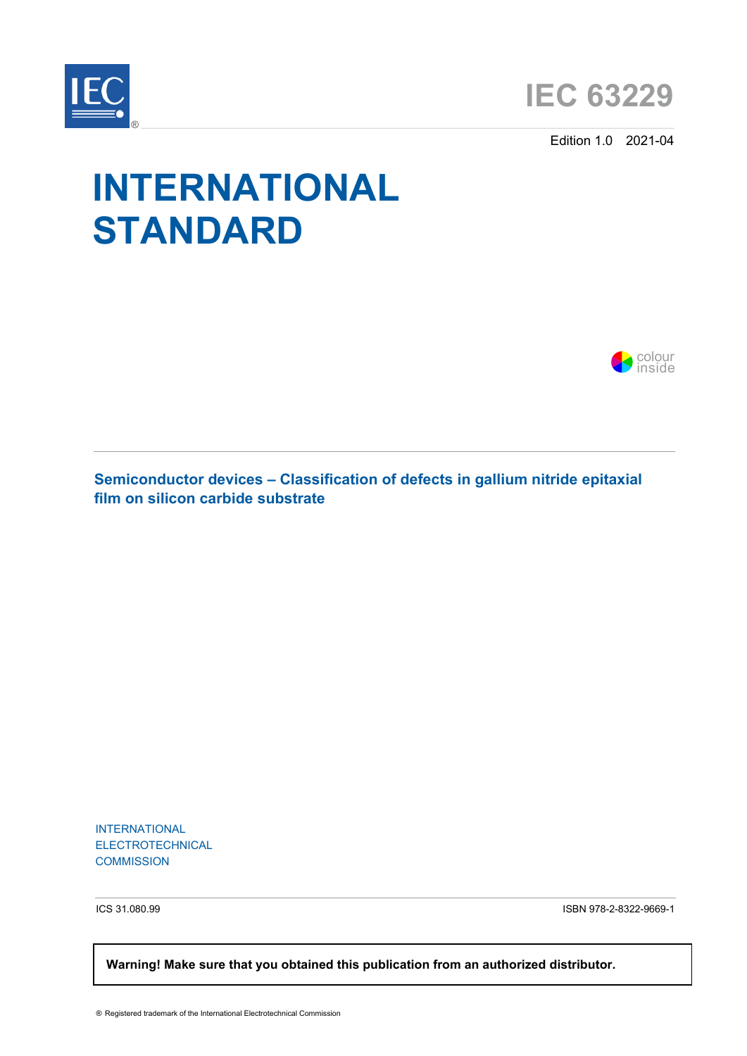



Edition 1.0 2021-04

# **INTERNATIONAL STANDARD**



**Semiconductor devices – Classification of defects in gallium nitride epitaxial film on silicon carbide substrate** 

INTERNATIONAL ELECTROTECHNICAL **COMMISSION** 

ICS 31.080.99 ISBN 978-2-8322-9669-1

 **Warning! Make sure that you obtained this publication from an authorized distributor.**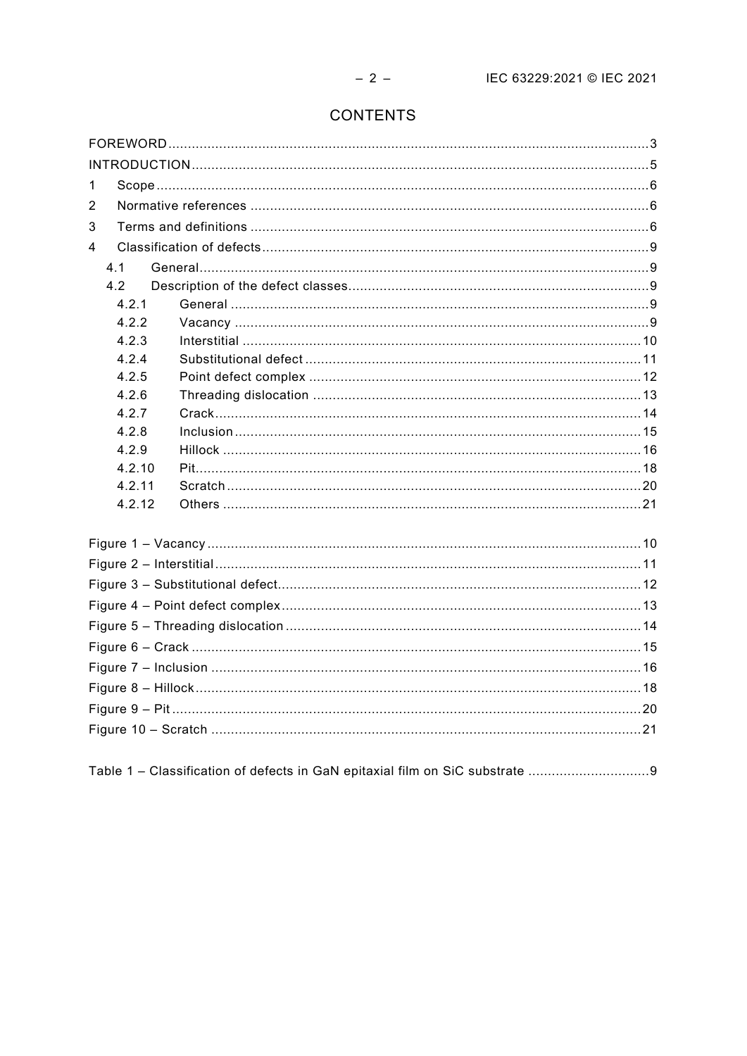# CONTENTS

| 1      |  |  |
|--------|--|--|
| 2      |  |  |
| 3      |  |  |
| 4      |  |  |
| 4.1    |  |  |
| 4.2    |  |  |
| 4.2.1  |  |  |
| 4.2.2  |  |  |
| 4.2.3  |  |  |
| 4.2.4  |  |  |
| 4.2.5  |  |  |
| 4.2.6  |  |  |
| 4.2.7  |  |  |
| 4.2.8  |  |  |
| 4.2.9  |  |  |
| 4.2.10 |  |  |
| 4.2.11 |  |  |
| 4.2.12 |  |  |
|        |  |  |
|        |  |  |
|        |  |  |
|        |  |  |
|        |  |  |
|        |  |  |
|        |  |  |
|        |  |  |
|        |  |  |
|        |  |  |
|        |  |  |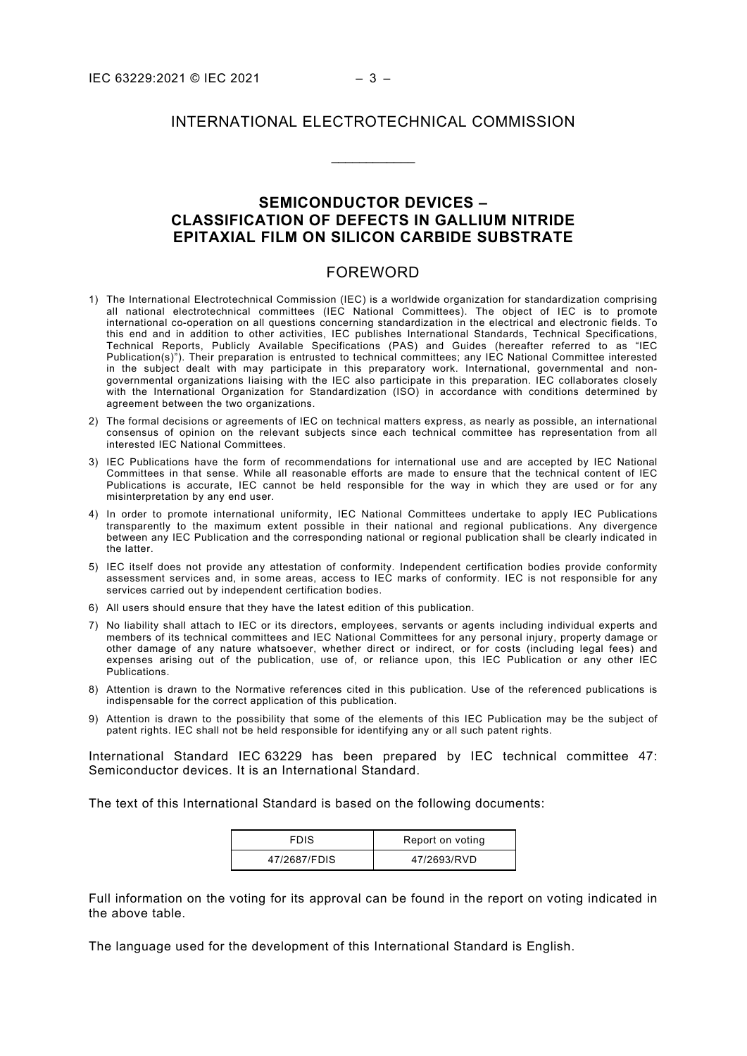#### INTERNATIONAL ELECTROTECHNICAL COMMISSION

\_\_\_\_\_\_\_\_\_\_\_\_

# **SEMICONDUCTOR DEVICES – CLASSIFICATION OF DEFECTS IN GALLIUM NITRIDE EPITAXIAL FILM ON SILICON CARBIDE SUBSTRATE**

#### FOREWORD

- <span id="page-2-0"></span>1) The International Electrotechnical Commission (IEC) is a worldwide organization for standardization comprising all national electrotechnical committees (IEC National Committees). The object of IEC is to promote international co-operation on all questions concerning standardization in the electrical and electronic fields. To this end and in addition to other activities, IEC publishes International Standards, Technical Specifications, Technical Reports, Publicly Available Specifications (PAS) and Guides (hereafter referred to as "IEC Publication(s)"). Their preparation is entrusted to technical committees; any IEC National Committee interested in the subject dealt with may participate in this preparatory work. International, governmental and nongovernmental organizations liaising with the IEC also participate in this preparation. IEC collaborates closely with the International Organization for Standardization (ISO) in accordance with conditions determined by agreement between the two organizations.
- 2) The formal decisions or agreements of IEC on technical matters express, as nearly as possible, an international consensus of opinion on the relevant subjects since each technical committee has representation from all interested IEC National Committees.
- 3) IEC Publications have the form of recommendations for international use and are accepted by IEC National Committees in that sense. While all reasonable efforts are made to ensure that the technical content of IEC Publications is accurate, IEC cannot be held responsible for the way in which they are used or for any misinterpretation by any end user.
- 4) In order to promote international uniformity, IEC National Committees undertake to apply IEC Publications transparently to the maximum extent possible in their national and regional publications. Any divergence between any IEC Publication and the corresponding national or regional publication shall be clearly indicated in the latter.
- 5) IEC itself does not provide any attestation of conformity. Independent certification bodies provide conformity assessment services and, in some areas, access to IEC marks of conformity. IEC is not responsible for any services carried out by independent certification bodies.
- 6) All users should ensure that they have the latest edition of this publication.
- 7) No liability shall attach to IEC or its directors, employees, servants or agents including individual experts and members of its technical committees and IEC National Committees for any personal injury, property damage or other damage of any nature whatsoever, whether direct or indirect, or for costs (including legal fees) and expenses arising out of the publication, use of, or reliance upon, this IEC Publication or any other IEC Publications.
- 8) Attention is drawn to the Normative references cited in this publication. Use of the referenced publications is indispensable for the correct application of this publication.
- 9) Attention is drawn to the possibility that some of the elements of this IEC Publication may be the subject of patent rights. IEC shall not be held responsible for identifying any or all such patent rights.

International Standard IEC 63229 has been prepared by IEC technical committee 47: Semiconductor devices. It is an International Standard.

The text of this International Standard is based on the following documents:

| <b>FDIS</b>  | Report on voting |
|--------------|------------------|
| 47/2687/FDIS | 47/2693/RVD      |

Full information on the voting for its approval can be found in the report on voting indicated in the above table.

The language used for the development of this International Standard is English.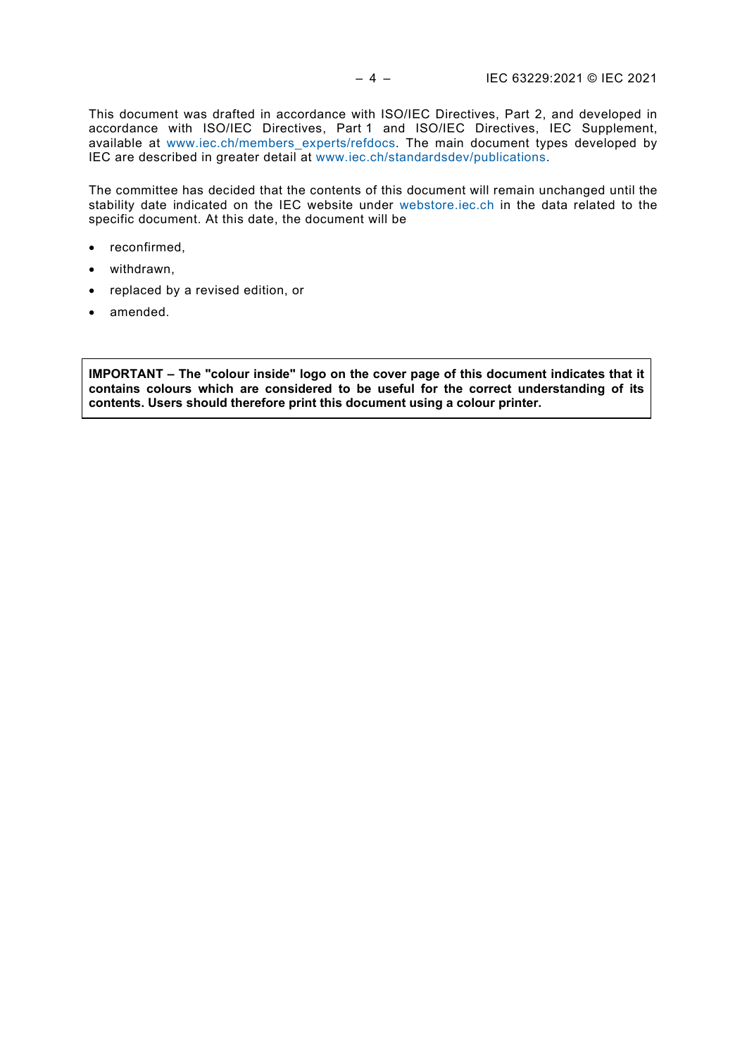This document was drafted in accordance with ISO/IEC Directives, Part 2, and developed in accordance with ISO/IEC Directives, Part 1 and ISO/IEC Directives, IEC Supplement, available at [www.iec.ch/members\\_experts/refdocs.](http://www.iec.ch/members_experts/refdocs) The main document types developed by IEC are described in greater detail at [www.iec.ch/standardsdev/publications.](http://www.iec.ch/standardsdev/publications)

The committee has decided that the contents of this document will remain unchanged until the stability date indicated on the IEC website under [webstore.iec.ch](https://webstore.iec.ch/?ref=menu) in the data related to the specific document. At this date, the document will be

- reconfirmed,
- withdrawn,
- replaced by a revised edition, or
- amended.

**IMPORTANT – The "colour inside" logo on the cover page of this document indicates that it contains colours which are considered to be useful for the correct understanding of its contents. Users should therefore print this document using a colour printer.**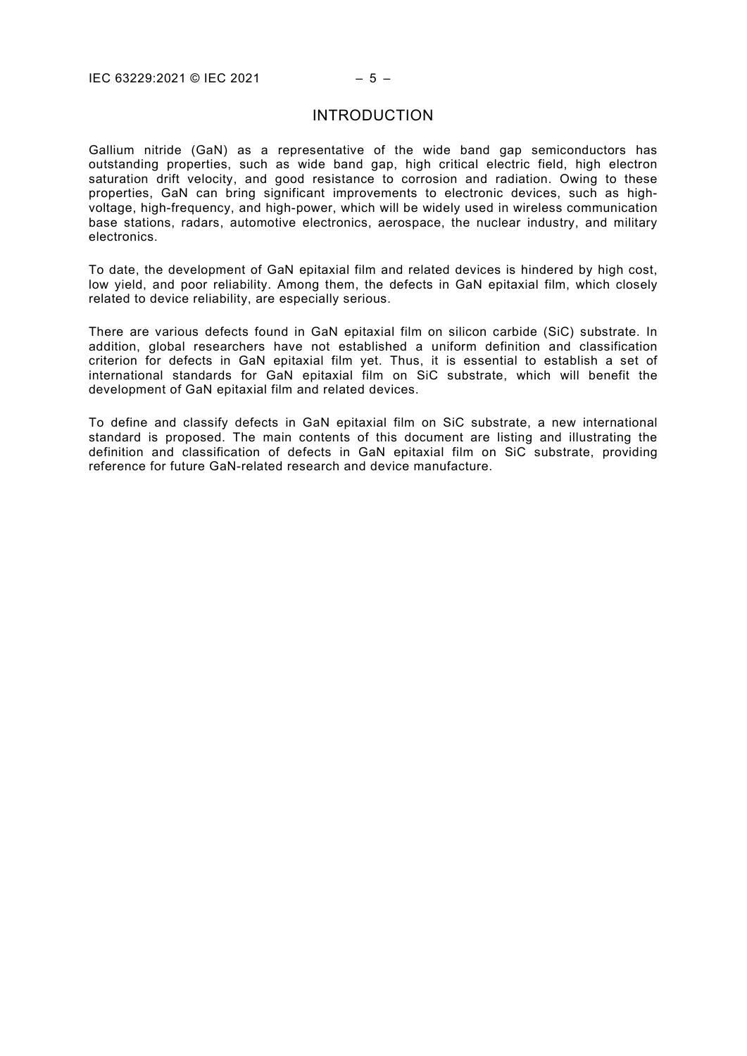#### INTRODUCTION

<span id="page-4-0"></span>Gallium nitride (GaN) as a representative of the wide band gap semiconductors has outstanding properties, such as wide band gap, high critical electric field, high electron saturation drift velocity, and good resistance to corrosion and radiation. Owing to these properties, GaN can bring significant improvements to electronic devices, such as highvoltage, high-frequency, and high-power, which will be widely used in wireless communication base stations, radars, automotive electronics, aerospace, the nuclear industry, and military electronics.

To date, the development of GaN epitaxial film and related devices is hindered by high cost, low yield, and poor reliability. Among them, the defects in GaN epitaxial film, which closely related to device reliability, are especially serious.

There are various defects found in GaN epitaxial film on silicon carbide (SiC) substrate. In addition, global researchers have not established a uniform definition and classification criterion for defects in GaN epitaxial film yet. Thus, it is essential to establish a set of international standards for GaN epitaxial film on SiC substrate, which will benefit the development of GaN epitaxial film and related devices.

To define and classify defects in GaN epitaxial film on SiC substrate, a new international standard is proposed. The main contents of this document are listing and illustrating the definition and classification of defects in GaN epitaxial film on SiC substrate, providing reference for future GaN-related research and device manufacture.